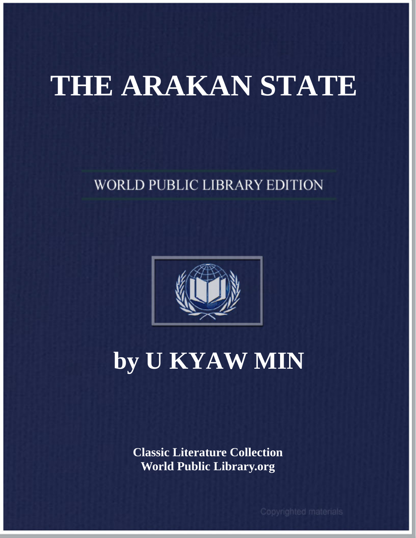## **THE ARAKAN STATE**

### **WORLD PUBLIC LIBRARY EDITION**



### **by U KYAW MIN**

**Classic Literature Collection World Public Library.org**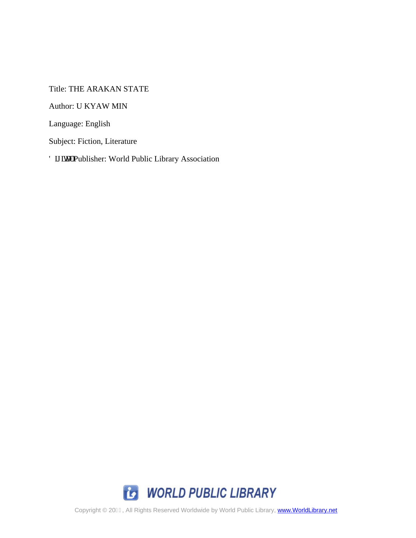Title: THE ARAKAN STATE

Author: U KYAW MIN

Language: English

Subject: Fiction, Literature

F k kcn'Publisher: World Public Library Association



Copyright © 20F€, All Rights Reserved Worldwide by World Public Library, www.WorldLibrary.net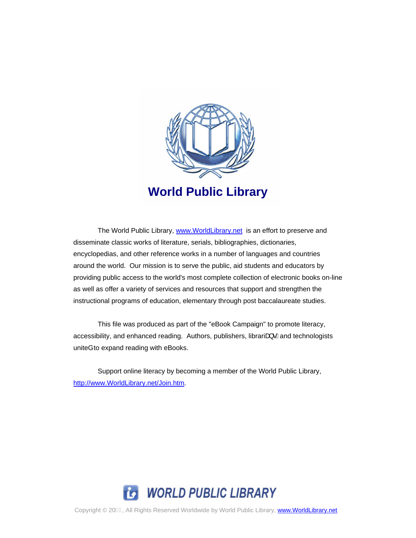

The World Public Library, [www.WorldLibrary.net](http://www.worldlibrary.net/) is an effort to preserve and disseminate classic works of literature, serials, bibliographies, dictionaries, encyclopedias, and other reference works in a number of languages and countries around the world. Our mission is to serve the public, aid students and educators by providing public access to the world's most complete collection of electronic books on-line as well as offer a variety of services and resources that support and strengthen the instructional programs of education, elementary through post baccalaureate studies.

This file was produced as part of the "eBook Campaign" to promote literacy, accessibility, and enhanced reading. Authors, publishers, libraria  $\cdot$  Eand technologists uniteå to expand reading with eBooks.

Support online literacy by becoming a member of the World Public Library, [http://www.WorldLibrary.net/Join.htm](http://www.worldlibrary.net/Join.htm).



Copyright © 20F€, All Rights Reserved Worldwide by World Public Library, www.WorldLibrary.net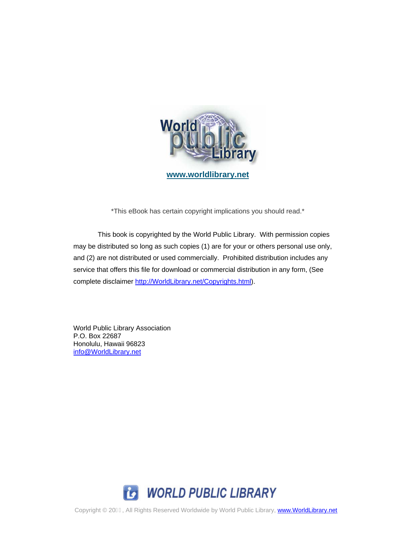

**[www.worldlibrary.net](http://www.worldlibrary.net/)**

\*This eBook has certain copyright implications you should read.\*

This book is copyrighted by the World Public Library. With permission copies may be distributed so long as such copies (1) are for your or others personal use only, and (2) are not distributed or used commercially. Prohibited distribution includes any service that offers this file for download or commercial distribution in any form, (See complete disclaimer [http://WorldLibrary.net/Copyrights.html\)](http://worldlibrary.net/Copyrights.html).

World Public Library Association P.O. Box 22687 Honolulu, Hawaii 96823 [info@WorldLibrary.net](mailto:info@WorldLibrary.net)

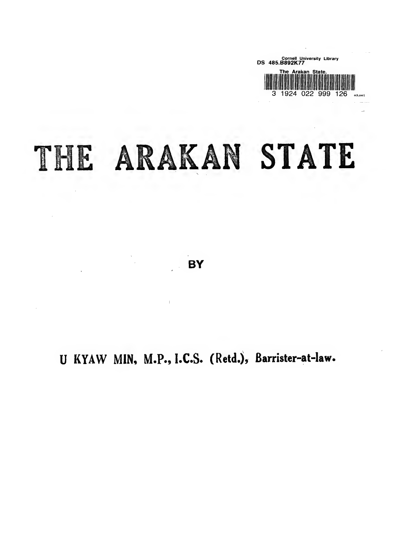

# THE ARAKAN STATE

**BY** 

 $\bar{1}$ 

U KYAW MIN, M.P., I.C.S. (Retd.), Barrister-at-law.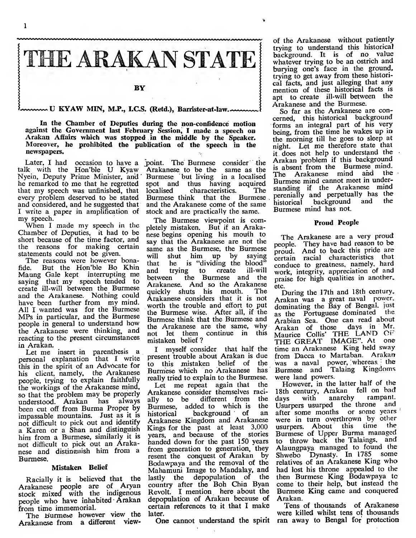

 $\sim$  U KYAW MIN, M.P., I.C.S. (Retd.), Barrister-at-law.  $\sim$ 

In the Chamber of Deputies during the non-confidence motion against the Government last February Session, I made a speech on Arakan Affairs which was stopped in the middle by the Speaker. Moreover, he prohibited the publication of the speech in the newspapers.

talk with the Hon'ble U Kyaw Nyein, Deputy Prime Minister, and he remarked to me that he regretted spot and<br>that my speech was unfinished, that localised that my speech was unfinished, that every problem deserved to be stated and considered, and he suggested that I write a paper in amplification of my speech.

When <sup>I</sup> made my speech in the Chamber of Deputies, it had to be short because of the time factor, and the reasons for making certain statements could not be given.

The reasons were however bona-<br>fide. But the Hon'ble Bo Khin find the Hon'ble Bo Khin and Maung Gale kept interrupting me between saying that my speech tended to create ill-will between the Burmese and the Arakanese. Nothing could have been further from my mind. All <sup>I</sup> wanted was for the Burmese MPs in particular, and the Burmese people in general to understand how the Arakanese were thinking, and reacting to the present circumstances in Arakan.

Let me insert in parenthesis a personal explanation that <sup>I</sup> write this in the spirit of an Advocate for his client, namely, the Arakanese people, trying to explain faithfully the workings of the Arakanese mind, so that the problem may be properly understood. Arakan has always been cut off from Burma Proper by Burmese,<br>impossable mountains Iust as it is historical impassable mountains. Just as it is not difficult to pick out and identify a Karen or a Shan and distinguish him from a Burmese, similarly it is not difficult to pick out an Arakanese and distinenish him from a Burmese.

#### Mistaken Belief

Racially it is believed that the lastly the Arakanese people are of Aryan stock mixed with the indigenous people who have inhabited- Arakan from time immemorial.

The Burmese however view the Arakanese from a different view-

Later, I had occasion to have a point. The Burmese consider the 4 Arakanese. to be the same as the Burmese but living in a localised spot and thus having acquired<br>localised characteristics. The characteristics. Burmese think that the Burmese perchially<br>and the Arakanese come of the same historical and the Arakanese come of the same stock and are practically the same.

> The Burmese viewpoint is completely mistaken. But if an Arakanese begins opening his mouth to say that the Arakanese are not the same as the Burmese, the Burmese will shut him up by saying he is "dividing the blood"<br>trying to create ill-will to create the Burmese and the Arakanese. And so the Arakanese quickly shuts his mouth. Arakanese considers that it is not worth the trouble and effort to put the Burmese wise. After all, if the Burmese think that the Burmese and the Arakanese are the same, why not let them continue in this not let them continue in this mistaken belief?

> I myself consider that half the present trouble about Arakan is due to this mistaken belief of the Burmese which no Arakanese has I really tried to explain to the Burmese.<br>Let me repeat again that the

Let me repeat again that Arakanese consider themselves raci-<br>ally to be different from the ally to be different from the days<br>Burmese added to which is the Usur Burmese, added to which is the<br>bistorical background of an background of Arakanese Kingdom and Arakanese Kings for the past at least 3.000 years, and because of the stories handed down for the past 150 years from generation to generation, they resent the conquest of Arakan by Bodawpaya and the removal of the Mahamuni Image to Mandalay, and lastly the depopulation of the f country after the Boh Chin Byan Revolt. I mention here about the depopulation of Arakan because of certain references to it that <sup>I</sup> make later.

One cannot understand the spirit

of the Arakanese without patiently trying to understand this historical background. It is of no value whatever trying to be an ostrich and burying one's face in the ground, trying to get away from these historical facts, and just alleging that any mention of these historical facts is apt to create ill-will between the Arakanese and the Burmese.

So far as the Arakanese are concerned, this historical background forms an integral part of his very being, from the time he wakes up in the morning till he goes to sleep at night. Let me therefore state that it does not help to understand the • Arakan problem if this background is absent from the Burmese mind. The Arakanese mind and the Burmese mind cannot meet in understanding if the Arakanese mind perenially and perpetually has the<br>historical background and the background and Burmese mind has not.

#### Proud People

The Arakanese are a very proud people. They have had reason to be proud. And to back this pride are certain racial characteristics that conduce to greatness, namely, hard work, integrity, appreciation of and praise for high qualities in another, etc.

During the 17th and 18th century, Arakan was a great naval power, dominating the Bay of Bengal, just as the Portuguese dominated the Arabian Sea. One can read about Arakan of those days in Mr.<br>Maurice Collis' THE LAND OF<br>THE GREAT IMAGE". At one time an Arakanese King held sway from Dacca to Martaban. Arakan was a naval power, whereas. the Burmese and Talaing Kingdoms were land powers.

However, in the latter half of the 18th century, Arakan fell on bad with anarchy rampant. Usurpers usurped the throne and after some months or some years were in turn overthrown by other usurpers. About this time the Burmese of Upper Burma managed to throw back the Talaings, and Alaungpaya managed to found the Shwebo Dynasty. In <sup>1785</sup> some relatives of an Arakanese King who had lost his throne appealed to the then Burmese King Bodawpaya tc come to their help, but instead the Burmese King came and conquered Arakan.

Tens of thousands of Arakanese were killed whilst tens of thousands ran away to Bengal for protection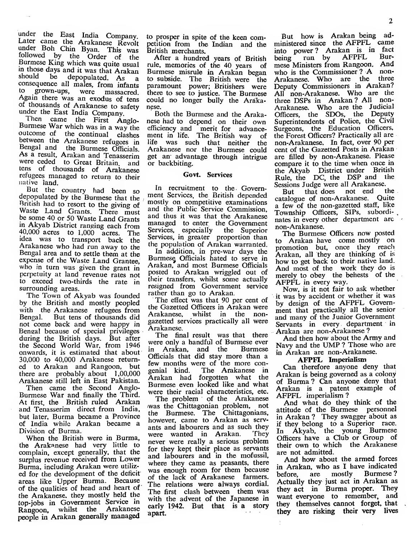under the East India Company. Later came the Arakanese Revolt under Boh Chin Byan. This was followed by the Order of the Burmese King which was quite usual m those days and it was that Arakan should be depopulated. As a consequence all males, from infants grown-ups, were massacred. Again there was an exodus of tens of thousands of Arakanese to safety under the East India Company.

Then came the First Anglo-Burmese War which was in <sup>a</sup> way the outcome of the continual clashes<br>between the Arakanese refugees in Bengal and the Burmese Officials.<br>As a result. Arakan and Tenasserim were ceded to Great Britain, and tens of thousands of Arakanese refugees managed to return to their<br>native land.<br>But the country had been so

depopulated by the Burmese that the British had to resort to the giving of Waste Land Grants. There must be some 40 or 50 Waste Land Grants in Akyab District ranging each from 40,000 acres to 1,000 acres. The idea was to transport back the Arakanese who had run away to the Bengal area and to settle them at the expense of the Waste Land Grantee, who in turn was given the grant in perpetuity at land revenue rates not to exceed two-thirds the rate in surrounding areas.

The Town of Akyab was founded by the British and mostly peopled with the Arakanese refugees from<br>Bengal. But tens of thousands did But tens of thousands did not come back and were happy in Bengal because of special privileges during the British days. But after the Second World War, from 1946 <sup>we</sup> onwards, it is estimated that about 30,000 to 40,000 Arakanese return ed to Arakan and Rangoon, but lew months w there are probably about 1,00,000 Arakanese still left in East Pakistan.

Then came the Second Anglo-Burmese War and finally the Third. At first, the British ruled Arakan and Tenasserim direct from India, but later, Burma became a Province of India while Arakan became a Division of Burma.

When the British were in Burma, the Arakanese had very little to complain, except generally, that the surplus revenue received from Lower Burma, including Arakan were utiliz ed for the development of the deficit areas like Upper Burma. Because of the qualities of head and heart of the Arakanese. they mostly held the top-jobs in Government Service in Rangoon, whilst the Arakanese people in Arakan generally managed

to prosper in spite of the keen competition from the Indian and the British merchants.

After a hundred years of British rule, memories of the 40 years of Burmese misrule in Arakan began to subside. The British were the paramount power; Britishers were there to see to justice. The Burmese could no longer bully the Arakanese.

Both the Burmese and the Arakanese had to depend on their own efficiency and merit for advancement in life. The British way of life was such that neither the Arakanese nor the Burmese could get an advantage through intrigue or backbiting.

#### Govt. Services

In recruitment to the. Government Services, the British depended mostly on competitive examinations and the Public Service Commission, and thus it was that the Arakanese managed to enter the Govermnent Services, especially the Superior Services, in greater proportion than the population of Arakan warranted.

In addition, in pre-war days the Burmese, Officials hated to serve in Arakan, and most Burmese Officials posted to Arakan wriggled out of their transfers, whilst some actually resigned from Government service rather than go to Arakan.

The effect was that 90 per cent of the Gazetted Officers in Arakan were Arakanese, whilst in the nongazetted services practically all were Arakanese.

 $T$ he final result was that there Arakan are non-Arakanese? were only a handful of Burmese ever<br>in Arakan, and the Burmese Arakan, and the Officials that did stay more than a few months were of the more con-The Arakanese in Arakan had forgotten what the Burmese even looked like and what were their racial characteristics, etc.

The problem of the Arakanese AFPFL imperialism? was the Chittagonian problem, not the Burmese. The Chittagonians, however, came to Arakan as serv ants and labourers and as such they<br>were wanted in Arakan. They were wanted in Arakan. never were really a serious problem for they kept their place as servants and labourers and in the mofussil, where they came as peasants, there was enough room for them because of the lack of Arakanese farmers. The relations were always cordial. The first clash between them was with the advent of the Japanese in early 1942. But that is a story apart.

But how is Arakan being administered since the AFPFL came into power? Arakan is in fact being run by AFPFL Bur mese Ministers from Rangoon. And who is the Commissioner? A non-Arakanese. Who are the three Deputy Commissioners in Arakan? All non-Arakanese. Who are the three DSPs in Arakan? All non-Arakanese. Who are the Judicial Officers, the SDOs, the Deputy Superintendents of Police, the Civil Surgeons, the Education Officers, the Forest Officers? Practically all are non-Arakanese. In fact, over 90 per cent of the Gazetted Posts in Arakan are filled by non-Arakanese. Please compare it to the time when once in the Akyab District under British Rule, the DC, the DSP and the

Sessions Judge were all Arakanese.<br>But that does not end the that does not end catalogue of non-Arakanese. Quite a few of the non-gazetted staff, like Township Officers, SIPs, subordi- . nates in every other department arc non-Arakanese.

The Burmese Officers now posted to Arakan have come mostly on promotion but, once they reach Arakan, all they are thinking of is how to get back to their native land. And most of the work they do is merely to obey the behests of the AFPFL in every way.

Now, is it not fair to ask whether it was by accident or whether it was by design of the AFPFL Government that practically all the senior and many of the Junior Government Servants in every department in

And then how about the Army and Navy and the UMP ? Those who are in Arakan are non-Arakanese.

#### AFPFL Imperialism

Can therefore anyone deny that Arakan is being governed as a colony of Burma? Can anyone deny that Arakan is a patent example of

And what do they think of the attitude of the Burmese personnel in Arakan ? They swagger about as if they belong to a Superior race. In Akyab, the young Burmese Officers have a Club or Group of their own to which the Arakanese are not admitted.

And how about the armed forces in Arakan, who as <sup>I</sup> have indicated before, are mostly Burmese? Actually they just act in Arakan as they act in Burma proper. They want everyone to remember, and they themselves cannot forget, that they are risking their very lives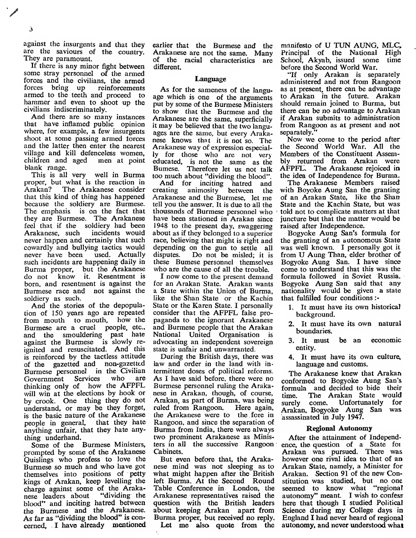$\mathbf{3}$ 

/

against the insurgents and that they are the saviours of the country. They are paramount.<br>If there is any minor fight between

some stray personnel of the armed forces and the civilians, the armed<br>forces bring up reinforcements forces bring up reinforcements<br>armed to the teeth and proceed to hammer and even to shoot up the civilians indiscriminately.

And there are so many instances that have inflamed public opinion where, for example, a few insurgents shoot at some passing armed forces and the latter then enter the nearest village and kill defenceless women,<br>children and aged men at point children and aged blank range.

This is all very well in Burma proper, but what is the reaction in<br>Arakan? The Arakanese consider The Arakanese consider that this kind of thing has happened because the soldiery are Burmese. The emphasis is on the fact that they are Burmese. The Arakanese feel that if the soldiery had been<br>Arakanese, such incidents would Arakanese, such never happen and certainly that such cowardly and bullying tactics would depending<br>never have been used. Actually disputes. never have been such incidents are happening daily in Burma proper, but the Arakanese<br>do not know it. Resentment is know it. Resentment is born, and resentment is against the Burmese race and not against the soldiery as such.

And the stories of the depopulation of 150 years ago are repeated from mouth to mouth, how the Burmese are a cruel people, etc., and the smouldering past hate against the Burmese is slowly re ignited and resuscitated. And this is reinforced by the tactless attitude of the gazetted and non-gazetted Burmese personnel in the Civilian<br>Government Services who are Government Services thinking only of how the AFPFL will win at the elections by hook or by crook. One thing they do not understand, or may be they forget, is the basic nature of the Arakanese people in general, that they hate anything unfair, that they hate anything underhand.

Some of the Burmese Ministers, prompted by some of the Arakanese Quislings who profess to love the Burmese so much and who have got themselves into positions of petty kings of Arakan, keep levelling the charge against some of the Arakanese leaders about "dividing the blood" and inciting hatred between the Burmese and the Arakanese. As far as "dividing the blood" is concerned, <sup>I</sup> have already mentioned

earlier that the Burmese and the Arakanese are not the same. Many of the racial characteristics are different.

#### Language

As for the sameness of the language which is one of the arguments put by some of the Burmese Ministers to show that the Burmese and the Arakanese are the same, superficially it may be believed that the two languages are the same, but every Arakanese knows that it is not so. The Arakanese way of expression especially for those who are not very educated, is not the same as the Bumese. Therefore let us not talk too much about "dividing the blood".<br>And for inciting hatred and

And for inciting hatred and<br>eating animosity between the creating animosity Arakanese and the Burmese, let me tell you the answer. It is due to all the thousands of Burmese personnel who have been stationed in Arakan since 1948 to the present day, swaggering about as if they belonged to a superior race, believing that might is right and depending on the gun to settle all Do not be misled; it is these Bumese personnel themselves who are the cause of all the trouble.

<sup>I</sup> now come to the present demand for an Arakan State. Arakan wants a State within the Union of Burma, like the Shan State or the Kachin State or the Karen State. <sup>I</sup> personally consider that the AFPFL false pro paganda to the ignorant Arakanese and Burmese people that the Arakan National United Organisation is advocating an independent sovereign state is unfair and unwarranted.

During the British days, there was law and order in the land with in termittent doses of political reforms. As <sup>I</sup> have said before, there were no Burmese personnel ruling the Arakanese in Arakan, though, of course, Arakan, as part of Burma, was being ruled from Rangoon. Here again, the Arakanese were to the fore in Rangoon, and since the separation of Burma from India, there were always two prominent Arakanese as Ministers in all the successive Rangoon Cabinets.

But even before that, the Arakanese mind was not sleeping as to what might happen after the British left Burma. At the Second Round Table Conference in London, the Arakanese representatives raised the question with the British leaders about keeping Arakan apart from Burma proper, but received no reply.

Let me also quote from the

٠.

manifesto of U TUN AUNG, MLC, Principal of the National High School, Akyab, issued some time before the Second World War.

"If only Arakan is separately administered and not from Rangoon as at present, there can be advantage to Arakan in the future. Arakan should remain joined to Burma, but there can be no advantage to Arakan if Arakan submits to administration from Rangoon as at present and not separately."

Now we come to the period after the Second Worid War. All the Members of the Constituent Assembly returned from Arakan were AFPFL. The Arakanese rejoiced in the idea of Independence for Burma.

The Arakanese Members raised with Boyoke Aung San the granting of an Arakan State, like the Shan State and the Kachin State, but was told not to complicate matters at that juncture but that the matter would be raised after Independence.

Bogyoke Aung San's formula for the granting of an autonomous State was well known. <sup>I</sup> personally got it from U Aung Than, elder brother of Bogyoke Aung San. <sup>I</sup> have since come to understand that this was the formula followed in Soviet Russia. Bogyoke Aung San said that any nationality would be given a state that fulfilled four conditions :-

- 1. It must have its own historical background.
- 2. It must have its own natural boundaries.
- 3. It must be an economic entity.
- 4. It must have its own culture, language and customs.

The Arakanese knew that Arakan conformed to Bogyoke Aung San's formula and decided to bide their The Arakan State would<br>come. Unfortunately for surely come. Unfortunately Arakan, Bogyoke Aung San was assassinated in July 1947.

#### Regional Autonomy

After the attainment of Independence, the question of a State foi Arakan was pursued. There was however one rival idea to that of an Arakan State, namely, a Minister for Arakan. Section 91 of the new Constitution was studied, but no one seemed to know what "regional autonomy" meant. <sup>I</sup> wish to confess here that though I studied Political Science during my College days in England I had never heard of regional autonomy, and never understood what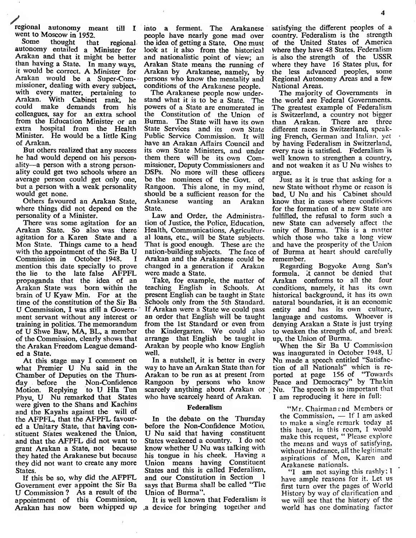/regional autonomy meant till <sup>I</sup> went to Moscow in 1952.

thought that regional autonomy entailed a Minister for Arakan and that it might be better than having a State. In many ways, it would be correct. A Minister for Arakan would be a Super-Commissioner, dealing with every subject, with every matter, pertaining to Arakan. With Cabinet rank, he could make demands from his colleagues, say for an extra school from the Education Minister or an extra hospital from the Health Minister. He would be a little King of Arakan.

But others realized that any success he had would depend on his personality—<sup>a</sup> person with <sup>a</sup> strong personality could get two schools where an average person could get only one, but a person with a weak personality would get none.

Others favoured an Arakan State, where things did not depend on the personality of a Minister.

There was some agitation for an Arakan State. So also was there<br>agitation for a Karen State and a Mon State. Things came to a head with the appointment of the Sir Ba U Commission in October 1948. mention this date specially to prove the lie to the late false AFPFL propaganda that the idea of an Arakan State was born within the brain of U Kyaw Min. For at the time of the constitution of the Sir Ba U Commission, <sup>I</sup> was still a Government servant without any interest or training in politics. The memorandum of U Shwe Baw, MA, BL. <sup>a</sup> member of the Commission, clearly shows that the Arakan Freedom League demanded a State.

At this stage may <sup>I</sup> comment on what Premier U Nu said in the Chamber of Deputies on the Thursday before the Non-Confidence Motion. Replying to U Hla Tun Phyu. U Nu remarked that States were given to the Shans and Kachins and the Kayahs against the will of the AFPFL. that the AFPFL favoured a Unitary State, that having constituent States weakened the Union, and that the AFPFL did not want to grant Arakan a State, not because they hated the Arakanese but because they did not want to create any more States.

If this be so, why did the. AFPFL Government ever appoint the Sir Ba U Commission ? As <sup>a</sup> result of the appointment of this Commission, Arakan has now been whipped up into a ferment. The Arakanese people have nearly gone mad over the idea of getting a State. One must look at it also from the historical and nationalistic point of view; an Arakan State means the running of Arakan by Arakanese. namely, by persons who know the mentality and conditions of the Arakanese people.

The Arakanese people now understand what it is to be a State. The powers of a State are enumerated in the Constitution of the Union of Burma. The State will have its own State Services and its own State Public Service Commission. It will have an Arakan Affairs Council and its own State Ministers, and under them there will be its own Commissioner, Deputy Commissioners and DSPs. No more will these officers be the nominees of the Govt, of Rangoon. This alone, in my mind, should be a sufficient reason for the<br>Arakanese wanting an Arakan an Arakan State.

Law and Order, the Administration of Justice, the Police, Education, Health, Communications, Agricultural loans, etc., will be State subjects. That is good enough. These are the nation-building subjects. The face of Arakan and the Arakanese could be changed in a generation if Arakan were made a State.

Take, for example, the matter of teaching English in Schools. At present English can be taught in State Schools only from the 5th Standard. If Arakan were a State we could pass an order that English will be taught from the 1st Standard or even from the Kindergarten. We could also arrange that English be taught in Arakan by people who know English well.

In a nutshell, it is better in every way to have an Arakan State than for Arakan to be run as at present from Rangoon by persons who know scarcely anything about Arakan or ; Nu. The speech is so important tliat who have scarcely heard of Arakan.

#### Federalism

In the debate on the Thursday before the Non-Confidence Motion, U Nu said that having constituent States weakened a country. <sup>I</sup> do not know whether U Nu was talking with his tongue in his cheek. Having a Union means having Constituent States and this is called Federalism, and our Constitution in Section <sup>1</sup> says that Burma shall be called "The Union of Burma",

It is well known that Federalism is .a device for bringing together and

satisfying the different peoples of a country. Federalism is the strength of the United States of America where they have 48 States. Federalism is also the strength of the USSR where they have 16 States plus, for the less advanced peoples, some Regional Autonomy Areas and a few National Areas.

The majority of Governments in the world are Federal Governments. The greatest example of Federalism is Switzerland, a country not bigger than Arakan. There are three different races in Switzerland, speaking French, German and Italian, yet by having Federalism in Switzerland, every race is satisfied. Federalism is well known to strengthen a country, and not weaken it as U Nu wishes to argue.

Just as it is true that asking for a new State without rhyme or reason is bad, U Nu and his Cabinet should know that in cases where conditions for the formation of a new State are fulfilled, the refusal to form such a new State can adversely affect the unity of Burma. This is a matter which those who take a long view . and have the prosperity of the Union of Burma at heart should carefully remember.

Regarding Bogyoke Aung San's formula, it cannot be denied that Arakan conforms to all the four conditions, namely, it has its own historical background, it has its own natural boundaries, it is an economic entity and has its own culture, language and customs. Whoever is denying Arakan a State is just trying to weaken the strength of, and break up, the Union of Burma.

When the Sir Ba U Commission was inaugurated in October 1948, U Nu made a speech entitled "Satisfaction of all Nationals" which is re ported at page 156 of "Towards Peace and Democracy" by Thakin <sup>I</sup> am reproducing it here in full:

"Mr. Chairman end Members or the Commission, — If <sup>I</sup> am asked to make a single remark today at this hour, in this room, <sup>I</sup> would make this request, " Please explore the means and ways of satisfying, without hindrance, all the legitimate aspirations of Mon, Karen and Arakanese nationals.

"I am not saying this rashly; <sup>T</sup> have ample reasons for it. Let us first turn over the pages of World History by way of clarification and we will see that the history of the world has one dominating factor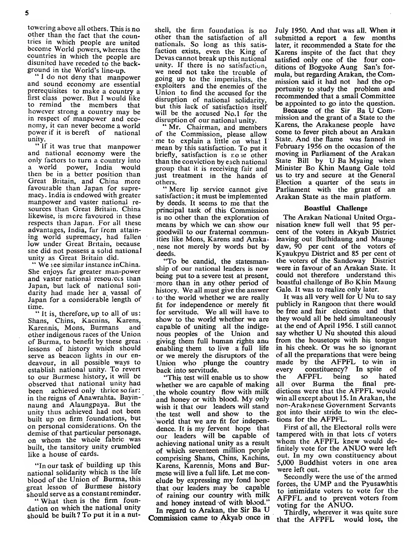towering above all others. This is no other than the fact that the countries in which people are united become World powers, whereas the countries in which the people are disunited have receded to the back-<br>ground in the World's line-up.

"I do not deny that manpower and sound economy are essential prerequisites to make a country a first class power. But I would like<br>to remind the members that to remind the members however strong a country may be in respect of manpower and eco- nomy, it can never become <sup>a</sup> world power if it is bereft of national<br>unity.

" If it was true that manpower and national economy were the only factors to turn a country into<br>a world power. India would power, India would then be in a better position than Great Britain, and China more favourable than Japan for supre macy. India is endowed with greater manpower and vaster national re sources than Great Britain. China likewise, is more favoured in these respects than Japan. For all these advantages, India, far from attain ing world supremacy, had fallen low under Great Britain, because she did not possess a solid national<br>unity as Great Britain did.

" We see similar instance inChina. She enjoys far greater man-power and vaster national resources than Japan, but lack of national soli darity had made her a vassal of Japan for a considerable length of

time.<br>" It is, therefore, up to all of us: Shans, Chins, Kacnins, Karens,<br>Karennis, Mons, Burmans, and Karennis, Mons, Burmans other indigenous races of the Union of Burma, to benefit by these great lessons of history which should serve as beacon lights in our endeavour, in all possible ways to establish national unity. To revert to our Burmese history, it will be observed that national unity had been achieved only thrice so far: in the reigns of Anawrahta, Bayin naung and Alaungpaya. But the unity thus achieved had not been built up on firm foundations, but on personal considerations. On the demise of that particular personage, on whom the whole fabric was built, the tansitory unity crumbled like a house of cards.

"In our task of building up this national solidarity which is the life blood of the Union of Burma, this great lesson of Burmese history<br>should serve as a constant reminder.

"What then is the firm foundation on which the national unity should be built? To put it in a nutshell, the firm foundation is no other than the satisfaction of all nationals. So long as this satis faction exists, even the King of Devas cannot break up this national<br>unity. If there is no satisfaction, we need not take the trouble of going up to the imperialists, the exploiters and the enemies of the Union to find the accused for the disruption of national solidarity, but this lack of satisfactioa itself will be the accused No.1 for the disruption of our national unity.

"Mr. Chairman, and members of the Commission, please allow • me to explain <sup>a</sup> little on what <sup>I</sup> mean by this satisfaction. To put it briefly, satisfaction is no ie other than the conviction by each national group that it is receiving fair and just treatment in the hands of others.

"Mere lip service cannot give satisfaction ; it must be implemented by deeds. It seems to me that the principal task of this Commission is no other than the exploration of means by which we can show our goodwill to our fraternal communities like Mons, Karens and Araka- . nese not merely by words but by deeds.

"To be candid, the statesmanship of our national leaders is now being put to a severe test at present, more than in any other period of history. We all must give the answer  $\epsilon$  to the world whether we are really fit for independence or merely fit for servitude. We all will have to show to the world whether we are capable of uniting all the indige nous peoples of the Union and giving them full human rights anu enabling them to live a full life or we merely the disruptors of the Union who plunge the country made<br>back into servitude. back into servitude.

"This test will enable us to show whether we are capable of making the whole country flow with milk and honey or with blood. My only wish it that our leaders will stand the test well and show to the 'world that we are fit for indepenour leaders will be capable of achieving national unity as a result of which seventeen million people comprising Shans, Chins, Kachins, Karens, Karennis, Mons and Bur mese will live a full life. Let me con clude by expressing my fond hope that our leaders may be capable of raining our country with milk and honey instead of with blood."

In regard to Arakan, the Sir Ba U Commission came to Akyab once in

July 1950. And that was all. When itsubmitted a report a few months later, it recommended a State for the Karens inspite of the fact that they satisfied only one of the four conditions of Bogyoke Aung San's for mula, but regarding Arakan, the Commission said it had not had the opportunity to study the problem and recommended that a small Committee be appointed to go into the question.

Because of the Sir Ba U Commission and the grant of a State to the Karens, the Arakanese people have come to fever pitch about an Arakan State. And the flame was fanned in February 1956 on the occasion of the moving in Parliament of the Arakan State Bill by U Ba Myaing when Minister Bo Khin Maung Gale told us to try and secure at the General Election a quarter of the seats in Parliament with the grant of an Arakan State as the main platform.

#### Boastful Challenge

The Arakan National United Organisation knew full well that 95 per cent of the voters in Akyab District leaving out Buthidaung and Maungdaw, 90 per cent of the voters of Kyaukpyu District and 85 per cent of the voters of the Sandoway District were in favour of an Arakan State. It could not therefore understand this^ boastful challenge of Bo Khin Maung Gale. It was to realize only later.

It was all very well for U Nu to say publicly in Rangoon that there would he free and fair elections and that they would all be held simultaneously at the end of April 1956. 1 still cannot say whether U Nu shouted this aloud from the housetops with his tongue in his cheek. Or was he so ignorant of all the preparations that were being made by the AFPFL to win in constituency? In spite of AFPFL being so hated all over Burma the final pre dictions were that the AFPFL would win all except about 15. In Arakan, the non-Arakanese Government Servants got into their stride to win the elections for the AFPFL.

dence. It is my fervent hope that First of all, the Electoral rolls were<br>our leaders, will be capable of tampered with in that lots of voters First of all, the Electoral rolls were whom the AFPFL knew would definitely vote for the ANUO were left out. In my own constituency about 5,000 Buddhist voters in one area were left out.

Secondly were the use of the armed forces, the UMP and the Pyusawhtis to intimidate voters to vote for the AFPFL and to prevent voters from voting for the ANUO.

Thirdly, wherever it was quite sure that the AFPFL would lose, the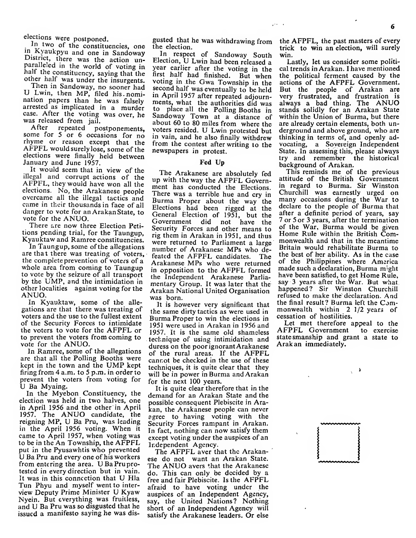elections were postponed.

In two of the constituencies, one in Kyaukpyu and one in Sandoway District, there was the action unparalleled in the world of voting in half the constituency, saying that the other half was under the insurgents.

Then in Sandoway, no sooner had U Lwin, then MP, filed his. nomination papers than he was falsely arrested as implicated in a murder case. After the voting was over, he was released from jail.

After repeated postponements, some for <sup>5</sup> or <sup>6</sup> occasions for no rhyme or reason except that the AFPFL would surely lose, some of the elections were finally held between January and June 1957.

It would seem that in view of the illegal and corrupt actions of the AFPFL, they would have won all the elections. No, the Arakanese people electrons. No, the Arakanese people There was a terrible hue and cry in<br>overcame all the illegal tactics and Burma Proper about the way the<br>came in their thousands in face of all Flections had been rigged at the danger to vote for an Arakan State, to vote for the ANUO.

There are now three Election Peti tions pending trial, for the Taungup, Kyauktaw and Ramree constituencies.

In Taungup, some of the allegations are that there was treating of voters, the complete prevention of voters of a whole area from coming to Taungup to vote by the seizure of all transport by the UMP, and the intimidation in other localities against voting for the ANUO.

In Kyauktaw, some of the alle gations are that there was treating of voters and the use to the fullest extent of the Security Forces to intimidate the voters to vote for the AFPFL or to prevent the voters from coming to vote for the ANUO.

In Ramree, some of the allegations are that all the Polling Booths were kept in the town and the UMP kept firing from 4 a.m. to 5 p.m. in order to prevent the voters from voting for U Ba Myaing.

In the Myebon Constituency, the election was held in two halves, one in April 1956 and the other' in April 1957. The ANUO candidate, the reigning MP, U Ba Pru, was leading in the April 1956 voting. When it came to April 1957, when voting was to be in the An Township, the AFPFL put in the Pyusawhtis who prevented U Ba Pru and every one of his workers from entering the area. UBaPruprotested in every direction but in vain. It was in this connection that U Hla Tun Phyu and myself went to inter view Deputy Prime Minister U Kyaw Nyein. But everything was fruitless, and U Ba Pru was so disgusted that he issued a manifesto saying he was dis-

gusted that he was withdrawing from the election.

In respect of Sandoway South Election, U Lwin had been released <sup>a</sup> year eariier after the voting in the first half had finished. But when voting in ihe Gwa Township in the second half was eventually to be held m April <sup>1957</sup> after repeated adjournments, what the authorities did was<br>to place all the Polling Booths in Sandoway Town at a distance of about 60 to 80 miles from where the voters resided. U Lwin protested but in vain, and he also finally withdrew from the contest after writing to the newspapers in protest.

#### Fed Up

The Arakanese are absolutely fed up with the way the AFPFL Government has conducted the Elections. In regard to Burma. Sir Winston<br>There was a terrible hue and cry in Churchill was earnestly urged on There was a terrible hue and cry in<br>Burma Proper about the way the Elections had been rigged at the General Election of 1951, but the Government did not have the Security Forces and other means to rig them in Arakan in 1951, and thus were returned to Parliament a large number of Arakanese MPs who defeated the AFPFL candidates. The Arakanese MPs who were returned in opposition to the AFPFL formed the Independent Arakanese Parliamentary Group. It was later that the Arakan National United Organisation was born.

It is however very significant that the same dirty tactics as were used in Burma Proper to win the elections in 1951 were used in Arakan in 1956 and 1957. It is the same old shameless technique of using intimidation and statesmanship and g<br>duress on the poorignorant Arakanese. Arakan immediately. duress on the poor ignorant Arakanese of the rural areas. If the AFPFL cannot be checked in the use of these techniques, it is quite clear that they will be in power in Burma and Arakan for the next 100 years.

It is quite clear therefore that in the demand for an Arakan State and the possible consequent Plebiscite in Arakan, the Arakanese people can never agree to having voting with the Security Forces rampant in Arakan. In fact, nothing can now satisfy them except voting under the auspices of an Independent Agency.

The AFPFL aver that the Arakan ese do not want an Arakan State. The ANUO avers that the Arakanese do. This can only be decided by a free and fair Plebiscite. Is the AFPFL afraid to have voting under the auspices of an Independent Agency, say, the United Nations? Nothing short of an Independent Agency will satisfy the Arakanese leaders. Or else

the AFPFL, the past masters of every trick to win an election, will surely win.

Lastly, let us consider some politi cal trends in Arakan. <sup>I</sup> have mentioned the political ferment caused by the actions of the AFPFL Government. But the people of Arakan are very frustrated, and frustration is<br>always a bad thing. The ANUO stands solidly for an Arakan State within the Union of Burma, but there are already certain elements, both un derground and above ground, who are thinking in terms of, and openly advocating, a Sovereign Independent State. In assessing tliis, please always try and remember the historical background of Arakan.

This reminds me of the previous attitude of the British Government in regard to Burma. Sir Winston many occasions during the War to declare to the people of Burma that after a definite period of years, say 7 or 5 or 3 years, after the termination of the War, Burma would be given Home Rule within the British Commonwealth and that in the meantime Britain would rehabilitate Burma to the best of her ability. As in the case of the Philippines where America made such a declaration, Burma might have been satisfied, to get Home Rule, say 3 years after the War. But what, happened? Sir Winston Churchill refused to make the declaration. And the final result? Burma left the Commonwealth within 2 1/2 years of cessation of hostilities.

Let met therefore appeal to the AFPFL Government to exercise statesmanship and grant a state to

- à

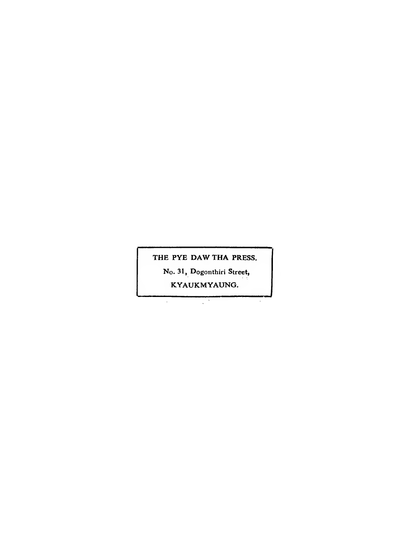THE PYE DAW THA PRESS.

No. 31, Dogonthiri Street,

KYAUKMYAUNG.

 $\mathcal{L}$ 

 $\epsilon$ 

 $\hat{\boldsymbol{\beta}}$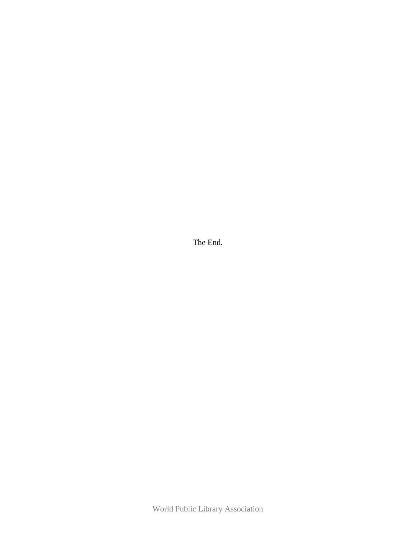The End.